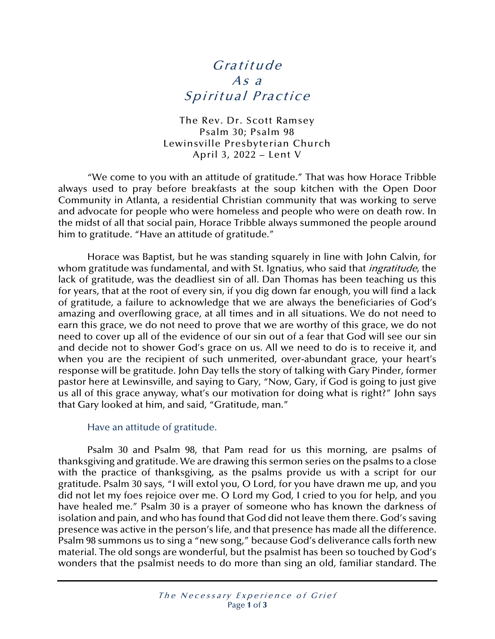## Gratitude As a Spiritual Practice

The Rev. Dr. Scott Ramsey Psalm 30; Psalm 98 Lewinsville Presbyterian Church April 3, 2022 – Lent V

"We come to you with an attitude of gratitude." That was how Horace Tribble always used to pray before breakfasts at the soup kitchen with the Open Door Community in Atlanta, a residential Christian community that was working to serve and advocate for people who were homeless and people who were on death row. In the midst of all that social pain, Horace Tribble always summoned the people around him to gratitude. "Have an attitude of gratitude."

Horace was Baptist, but he was standing squarely in line with John Calvin, for whom gratitude was fundamental, and with St. Ignatius, who said that *ingratitude*, the lack of gratitude, was the deadliest sin of all. Dan Thomas has been teaching us this for years, that at the root of every sin, if you dig down far enough, you will find a lack of gratitude, a failure to acknowledge that we are always the beneficiaries of God's amazing and overflowing grace, at all times and in all situations. We do not need to earn this grace, we do not need to prove that we are worthy of this grace, we do not need to cover up all of the evidence of our sin out of a fear that God will see our sin and decide not to shower God's grace on us. All we need to do is to receive it, and when you are the recipient of such unmerited, over-abundant grace, your heart's response will be gratitude. John Day tells the story of talking with Gary Pinder, former pastor here at Lewinsville, and saying to Gary, "Now, Gary, if God is going to just give us all of this grace anyway, what's our motivation for doing what is right?" John says that Gary looked at him, and said, "Gratitude, man."

## Have an attitude of gratitude.

Psalm 30 and Psalm 98, that Pam read for us this morning, are psalms of thanksgiving and gratitude. We are drawing this sermon series on the psalms to a close with the practice of thanksgiving, as the psalms provide us with a script for our gratitude. Psalm 30 says, "I will extol you, O Lord, for you have drawn me up, and you did not let my foes rejoice over me. O Lord my God, I cried to you for help, and you have healed me." Psalm 30 is a prayer of someone who has known the darkness of isolation and pain, and who has found that God did not leave them there. God's saving presence was active in the person's life, and that presence has made all the difference. Psalm 98 summons us to sing a "new song," because God's deliverance calls forth new material. The old songs are wonderful, but the psalmist has been so touched by God's wonders that the psalmist needs to do more than sing an old, familiar standard. The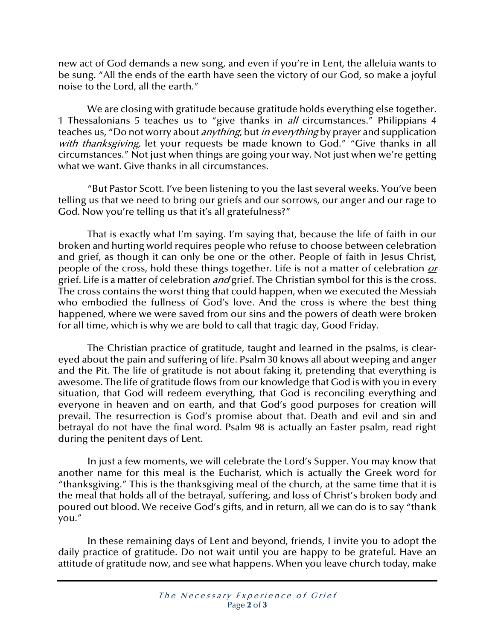new act of God demands a new song, and even if you're in Lent, the alleluia wants to be sung. "All the ends of the earth have seen the victory of our God, so make a joyful noise to the Lord, all the earth."

We are closing with gratitude because gratitude holds everything else together. 1 Thessalonians 5 teaches us to "give thanks in *all* circumstances." Philippians 4 teaches us, "Do not worry about *anything*, but *in everything* by prayer and supplication with thanksgiving, let your requests be made known to God." "Give thanks in all circumstances." Not just when things are going your way. Not just when we're getting what we want. Give thanks in all circumstances.

"But Pastor Scott. I've been listening to you the last several weeks. You've been telling us that we need to bring our griefs and our sorrows, our anger and our rage to God. Now you're telling us that it's all gratefulness?"

That is exactly what I'm saying. I'm saying that, because the life of faith in our broken and hurting world requires people who refuse to choose between celebration and grief, as though it can only be one or the other. People of faith in Jesus Christ, people of the cross, hold these things together. Life is not a matter of celebration or grief. Life is a matter of celebration *and* grief. The Christian symbol for this is the cross. The cross contains the worst thing that could happen, when we executed the Messiah who embodied the fullness of God's love. And the cross is where the best thing happened, where we were saved from our sins and the powers of death were broken for all time, which is why we are bold to call that tragic day, Good Friday.

The Christian practice of gratitude, taught and learned in the psalms, is cleareyed about the pain and suffering of life. Psalm 30 knows all about weeping and anger and the Pit. The life of gratitude is not about faking it, pretending that everything is awesome. The life of gratitude flows from our knowledge that God is with you in every situation, that God will redeem everything, that God is reconciling everything and everyone in heaven and on earth, and that God's good purposes for creation will prevail. The resurrection is God's promise about that. Death and evil and sin and betrayal do not have the final word. Psalm 98 is actually an Easter psalm, read right during the penitent days of Lent.

In just a few moments, we will celebrate the Lord's Supper. You may know that another name for this meal is the Eucharist, which is actually the Greek word for "thanksgiving." This is the thanksgiving meal of the church, at the same time that it is the meal that holds all of the betrayal, suffering, and loss of Christ's broken body and poured out blood. We receive God's gifts, and in return, all we can do is to say "thank you."

In these remaining days of Lent and beyond, friends, I invite you to adopt the daily practice of gratitude. Do not wait until you are happy to be grateful. Have an attitude of gratitude now, and see what happens. When you leave church today, make